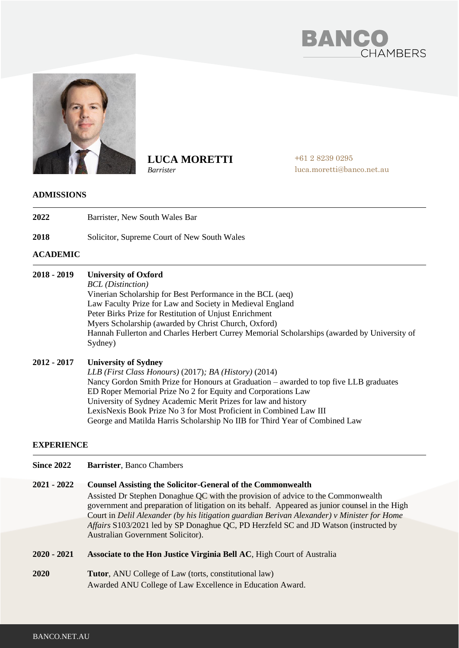



**LUCA MORETTI**

*Barrister*

+61 2 8239 0295 luca.moretti@banco.net.au

### **ADMISSIONS**

- **2022**  Barrister, New South Wales Bar
- **2018** Solicitor, Supreme Court of New South Wales

# **ACADEMIC**

#### **2018 - 2019 University of Oxford**

*BCL (Distinction)*

Vinerian Scholarship for Best Performance in the BCL (aeq) Law Faculty Prize for Law and Society in Medieval England Peter Birks Prize for Restitution of Unjust Enrichment Myers Scholarship (awarded by Christ Church, Oxford) Hannah Fullerton and Charles Herbert Currey Memorial Scholarships (awarded by University of Sydney)

#### **2012 - 2017 University of Sydney**

*LLB (First Class Honours)* (2017)*; BA (History)* (2014) Nancy Gordon Smith Prize for Honours at Graduation – awarded to top five LLB graduates ED Roper Memorial Prize No 2 for Equity and Corporations Law University of Sydney Academic Merit Prizes for law and history LexisNexis Book Prize No 3 for Most Proficient in Combined Law III George and Matilda Harris Scholarship No IIB for Third Year of Combined Law

### **EXPERIENCE**

**Since 2022 Barrister**, Banco Chambers

#### **2021 - 2022 Counsel Assisting the Solicitor-General of the Commonwealth**

Assisted Dr Stephen Donaghue QC with the provision of advice to the Commonwealth government and preparation of litigation on its behalf. Appeared as junior counsel in the High Court in *Delil Alexander (by his litigation guardian Berivan Alexander) v Minister for Home Affairs* S103/2021 led by SP Donaghue QC, PD Herzfeld SC and JD Watson (instructed by Australian Government Solicitor).

- **2020 - 2021 Associate to the Hon Justice Virginia Bell AC**, High Court of Australia
- **2020 Tutor**, ANU College of Law (torts, constitutional law) Awarded ANU College of Law Excellence in Education Award.